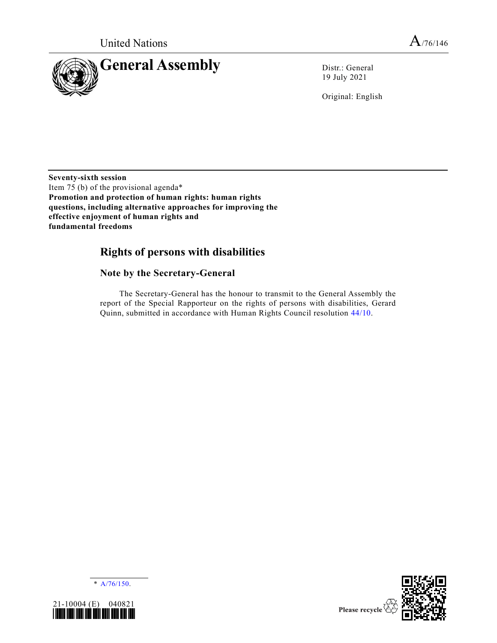

19 July 2021

Original: English

**Seventy-sixth session** Item 75 (b) of the provisional agenda\* **Promotion and protection of human rights: human rights questions, including alternative approaches for improving the effective enjoyment of human rights and fundamental freedoms**

# **Rights of persons with disabilities**

## **Note by the Secretary-General**

The Secretary-General has the honour to transmit to the General Assembly the report of the Special Rapporteur on the rights of persons with disabilities, Gerard Quinn, submitted in accordance with Human Rights Council resolution [44/10.](https://undocs.org/en/A/HRC/RES/44/10)





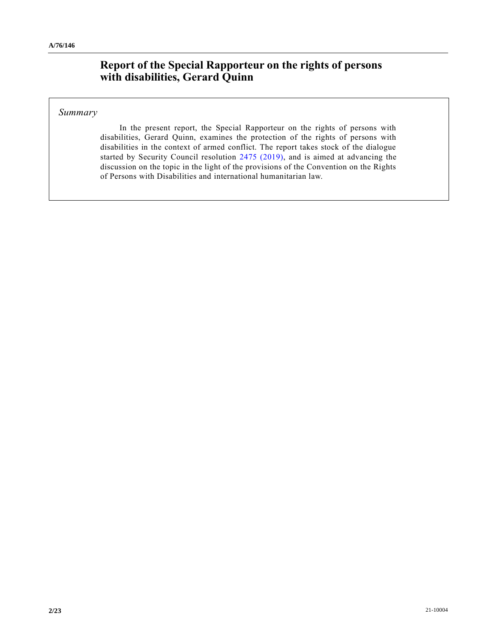# **Report of the Special Rapporteur on the rights of persons with disabilities, Gerard Quinn**

## *Summary*

In the present report, the Special Rapporteur on the rights of persons with disabilities, Gerard Quinn, examines the protection of the rights of persons with disabilities in the context of armed conflict. The report takes stock of the dialogue started by Security Council resolution [2475 \(2019\),](https://undocs.org/en/S/RES/2475(2019)) and is aimed at advancing the discussion on the topic in the light of the provisions of the Convention on the Rights of Persons with Disabilities and international humanitarian law.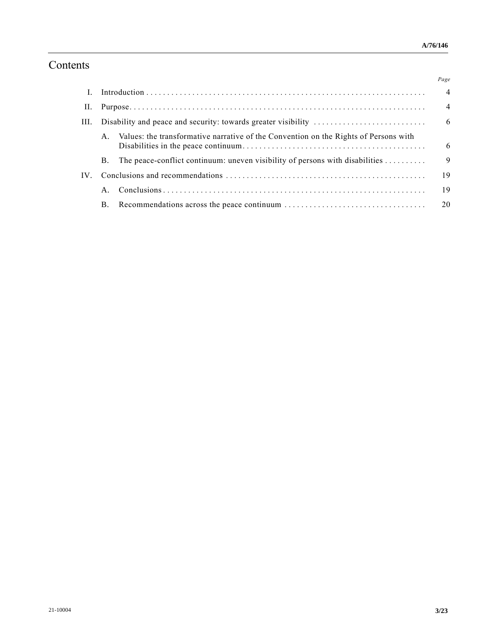# Contents

|          |             |                                                                                      | Page            |
|----------|-------------|--------------------------------------------------------------------------------------|-----------------|
|          |             |                                                                                      | $\overline{4}$  |
| П.       |             |                                                                                      | $\overline{4}$  |
| III.     |             |                                                                                      | $6\overline{6}$ |
|          |             | Values: the transformative narrative of the Convention on the Rights of Persons with | -6              |
|          | B.          | The peace-conflict continuum: uneven visibility of persons with disabilities         | 9               |
| $IV_{-}$ |             |                                                                                      | 19              |
|          | $A_{\cdot}$ |                                                                                      | 19              |
|          |             |                                                                                      |                 |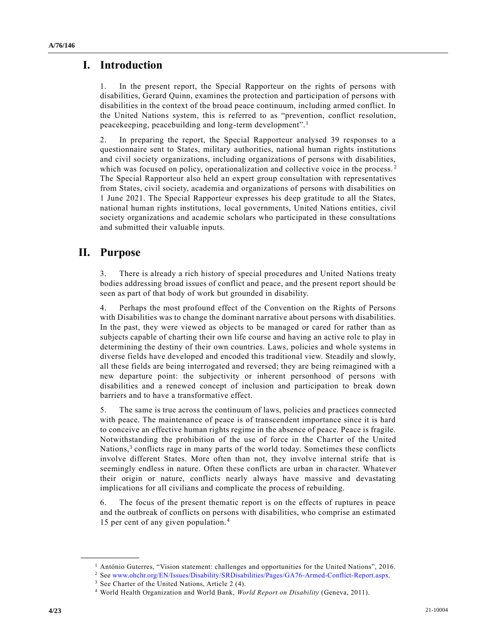## **I. Introduction**

1. In the present report, the Special Rapporteur on the rights of persons with disabilities, Gerard Quinn, examines the protection and participation of persons with disabilities in the context of the broad peace continuum, including armed conflict. In the United Nations system, this is referred to as "prevention, conflict resolution, peacekeeping, peacebuilding and long-term development".<sup>1</sup>

2. In preparing the report, the Special Rapporteur analysed 39 responses to a questionnaire sent to States, military authorities, national human rights institutions and civil society organizations, including organizations of persons with disabilities, which was focused on policy, operationalization and collective voice in the process.<sup>2</sup> The Special Rapporteur also held an expert group consultation with representatives from States, civil society, academia and organizations of persons with disabilities on 1 June 2021. The Special Rapporteur expresses his deep gratitude to all the States, national human rights institutions, local governments, United Nations entities, civil society organizations and academic scholars who participated in these consultations and submitted their valuable inputs.

# **II. Purpose**

**\_\_\_\_\_\_\_\_\_\_\_\_\_\_\_\_\_\_**

3. There is already a rich history of special procedures and United Nations treaty bodies addressing broad issues of conflict and peace, and the present report should be seen as part of that body of work but grounded in disability.

4. Perhaps the most profound effect of the Convention on the Rights of Persons with Disabilities was to change the dominant narrative about persons with disabilities. In the past, they were viewed as objects to be managed or cared for rather than as subjects capable of charting their own life course and having an active role to play in determining the destiny of their own countries. Laws, policies and whole systems in diverse fields have developed and encoded this traditional view. Steadily and slowly, all these fields are being interrogated and reversed; they are being reimagined with a new departure point: the subjectivity or inherent personhood of persons with disabilities and a renewed concept of inclusion and participation to break down barriers and to have a transformative effect.

5. The same is true across the continuum of laws, policies and practices connected with peace. The maintenance of peace is of transcendent importance since it is hard to conceive an effective human rights regime in the absence of peace. Peace is fragile. Notwithstanding the prohibition of the use of force in the Charter of the United Nations,<sup>3</sup> conflicts rage in many parts of the world today. Sometimes these conflicts involve different States. More often than not, they involve internal strife that is seemingly endless in nature. Often these conflicts are urban in character. Whatever their origin or nature, conflicts nearly always have massive and devastating implications for all civilians and complicate the process of rebuilding.

6. The focus of the present thematic report is on the effects of ruptures in peace and the outbreak of conflicts on persons with disabilities, who comprise an estimated 15 per cent of any given population. <sup>4</sup>

<sup>&</sup>lt;sup>1</sup> António Guterres, "Vision statement: challenges and opportunities for the United Nations", 2016.

<sup>2</sup> Se[e www.ohchr.org/EN/Issues/Disability/SRDisabilities/Pages/GA76-Armed-Conflict-Report.aspx.](http://www.ohchr.org/EN/Issues/Disability/SRDisabilities/Pages/GA76-Armed-Conflict-Report.aspx)

<sup>&</sup>lt;sup>3</sup> See Charter of the United Nations, Article 2 (4).

<sup>4</sup> World Health Organization and World Bank, *World Report on Disability* (Geneva, 2011).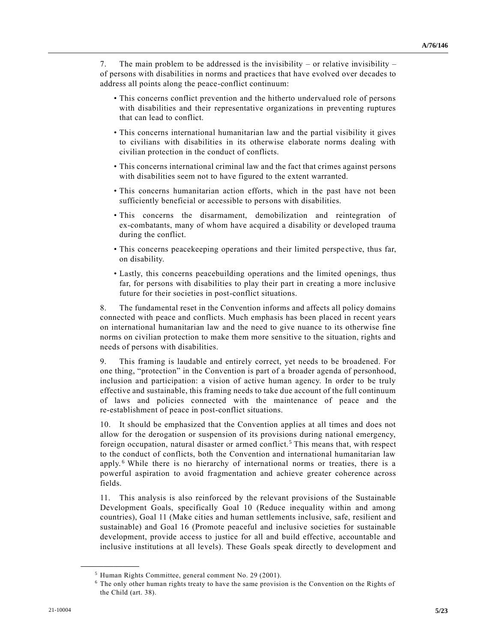7. The main problem to be addressed is the invisibility – or relative invisibility – of persons with disabilities in norms and practices that have evolved over decades to address all points along the peace-conflict continuum:

- This concerns conflict prevention and the hitherto undervalued role of persons with disabilities and their representative organizations in preventing ruptures that can lead to conflict.
- This concerns international humanitarian law and the partial visibility it gives to civilians with disabilities in its otherwise elaborate norms dealing with civilian protection in the conduct of conflicts.
- This concerns international criminal law and the fact that crimes against persons with disabilities seem not to have figured to the extent warranted.
- This concerns humanitarian action efforts, which in the past have not been sufficiently beneficial or accessible to persons with disabilities.
- This concerns the disarmament, demobilization and reintegration of ex-combatants, many of whom have acquired a disability or developed trauma during the conflict.
- This concerns peacekeeping operations and their limited perspective, thus far, on disability.
- Lastly, this concerns peacebuilding operations and the limited openings, thus far, for persons with disabilities to play their part in creating a more inclusive future for their societies in post-conflict situations.

8. The fundamental reset in the Convention informs and affects all policy domains connected with peace and conflicts. Much emphasis has been placed in recent years on international humanitarian law and the need to give nuance to its otherwise fine norms on civilian protection to make them more sensitive to the situation, rights and needs of persons with disabilities.

9. This framing is laudable and entirely correct, yet needs to be broadened. For one thing, "protection" in the Convention is part of a broader agenda of personhood, inclusion and participation: a vision of active human agency. In order to be truly effective and sustainable, this framing needs to take due account of the full continuum of laws and policies connected with the maintenance of peace and the re-establishment of peace in post-conflict situations.

10. It should be emphasized that the Convention applies at all times and does not allow for the derogation or suspension of its provisions during national emergency, foreign occupation, natural disaster or armed conflict.<sup>5</sup> This means that, with respect to the conduct of conflicts, both the Convention and international humanitarian law apply.<sup>6</sup> While there is no hierarchy of international norms or treaties, there is a powerful aspiration to avoid fragmentation and achieve greater coherence across fields.

11. This analysis is also reinforced by the relevant provisions of the Sustainable Development Goals, specifically Goal 10 (Reduce inequality within and among countries), Goal 11 (Make cities and human settlements inclusive, safe, resilient and sustainable) and Goal 16 (Promote peaceful and inclusive societies for sustainable development, provide access to justice for all and build effective, accountable and inclusive institutions at all levels). These Goals speak directly to development and

<sup>5</sup> Human Rights Committee, general comment No. 29 (2001).

<sup>6</sup> The only other human rights treaty to have the same provision is the Convention on the Rights of the Child (art. 38).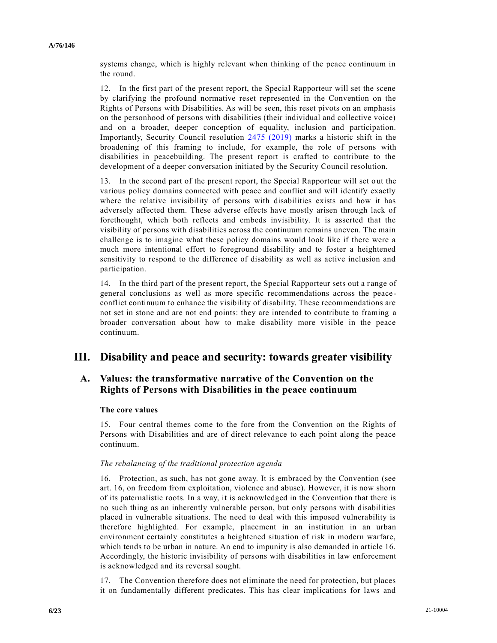systems change, which is highly relevant when thinking of the peace continuum in the round.

12. In the first part of the present report, the Special Rapporteur will set the scene by clarifying the profound normative reset represented in the Convention on the Rights of Persons with Disabilities. As will be seen, this reset pivots on an emphasis on the personhood of persons with disabilities (their individual and collective voice) and on a broader, deeper conception of equality, inclusion and participation. Importantly, Security Council resolution [2475 \(2019\)](https://undocs.org/en/S/RES/2475(2019)) marks a historic shift in the broadening of this framing to include, for example, the role of persons with disabilities in peacebuilding. The present report is crafted to contribute to the development of a deeper conversation initiated by the Security Council resolution.

13. In the second part of the present report, the Special Rapporteur will set o ut the various policy domains connected with peace and conflict and will identify exactly where the relative invisibility of persons with disabilities exists and how it has adversely affected them. These adverse effects have mostly arisen through lack of forethought, which both reflects and embeds invisibility. It is asserted that the visibility of persons with disabilities across the continuum remains uneven. The main challenge is to imagine what these policy domains would look like if there were a much more intentional effort to foreground disability and to foster a heightened sensitivity to respond to the difference of disability as well as active inclusion and participation.

14. In the third part of the present report, the Special Rapporteur sets out a r ange of general conclusions as well as more specific recommendations across the peace conflict continuum to enhance the visibility of disability. These recommendations are not set in stone and are not end points: they are intended to contribute to framing a broader conversation about how to make disability more visible in the peace continuum.

## **III. Disability and peace and security: towards greater visibility**

## **A. Values: the transformative narrative of the Convention on the Rights of Persons with Disabilities in the peace continuum**

### **The core values**

15. Four central themes come to the fore from the Convention on the Rights of Persons with Disabilities and are of direct relevance to each point along the peace continuum.

#### *The rebalancing of the traditional protection agenda*

16. Protection, as such, has not gone away. It is embraced by the Convention (see art. 16, on freedom from exploitation, violence and abuse). However, it is now shorn of its paternalistic roots. In a way, it is acknowledged in the Convention that there is no such thing as an inherently vulnerable person, but only persons with disabilities placed in vulnerable situations. The need to deal with this imposed vulnerability is therefore highlighted. For example, placement in an institution in an urban environment certainly constitutes a heightened situation of risk in modern warfare, which tends to be urban in nature. An end to impunity is also demanded in article 16. Accordingly, the historic invisibility of persons with disabilities in law enforcement is acknowledged and its reversal sought.

17. The Convention therefore does not eliminate the need for protection, but places it on fundamentally different predicates. This has clear implications for laws and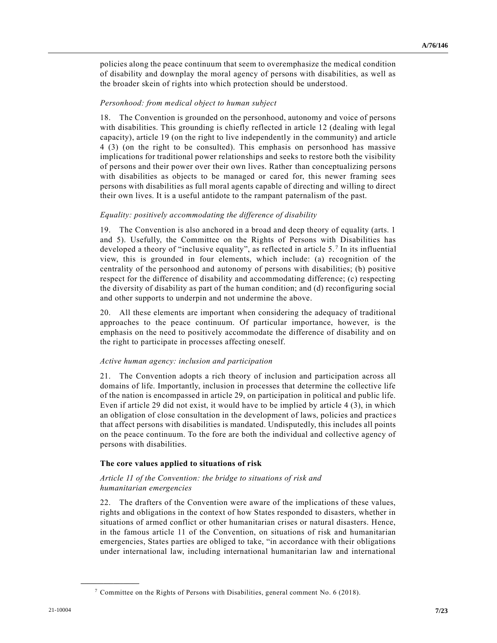policies along the peace continuum that seem to overemphasize the medical condition of disability and downplay the moral agency of persons with disabilities, as well as the broader skein of rights into which protection should be understood.

#### *Personhood: from medical object to human subject*

18. The Convention is grounded on the personhood, autonomy and voice of persons with disabilities. This grounding is chiefly reflected in article 12 (dealing with legal capacity), article 19 (on the right to live independently in the community) and article 4 (3) (on the right to be consulted). This emphasis on personhood has massive implications for traditional power relationships and seeks to restore both the visibility of persons and their power over their own lives. Rather than conceptualizing persons with disabilities as objects to be managed or cared for, this newer framing sees persons with disabilities as full moral agents capable of directing and willing to direct their own lives. It is a useful antidote to the rampant paternalism of the past.

#### *Equality: positively accommodating the difference of disability*

19. The Convention is also anchored in a broad and deep theory of equality (arts. 1 and 5). Usefully, the Committee on the Rights of Persons with Disabilities has developed a theory of "inclusive equality", as reflected in article  $5.^7$  In its influential view, this is grounded in four elements, which include: (a) recognition of the centrality of the personhood and autonomy of persons with disabilities; (b) positive respect for the difference of disability and accommodating difference; (c) respecting the diversity of disability as part of the human condition; and (d) reconfiguring social and other supports to underpin and not undermine the above.

20. All these elements are important when considering the adequacy of traditional approaches to the peace continuum. Of particular importance, however, is the emphasis on the need to positively accommodate the difference of disability and on the right to participate in processes affecting oneself.

#### *Active human agency: inclusion and participation*

21. The Convention adopts a rich theory of inclusion and participation across all domains of life. Importantly, inclusion in processes that determine the collective life of the nation is encompassed in article 29, on participation in political and public life. Even if article 29 did not exist, it would have to be implied by article 4 (3), in which an obligation of close consultation in the development of laws, policies and practice s that affect persons with disabilities is mandated. Undisputedly, this includes all points on the peace continuum. To the fore are both the individual and collective agency of persons with disabilities.

#### **The core values applied to situations of risk**

#### *Article 11 of the Convention: the bridge to situations of risk and humanitarian emergencies*

22. The drafters of the Convention were aware of the implications of these values, rights and obligations in the context of how States responded to disasters, whether in situations of armed conflict or other humanitarian crises or natural disasters. Hence, in the famous article 11 of the Convention, on situations of risk and humanitarian emergencies, States parties are obliged to take, "in accordance with their obligations under international law, including international humanitarian law and international

<sup>7</sup> Committee on the Rights of Persons with Disabilities, general comment No. 6 (2018).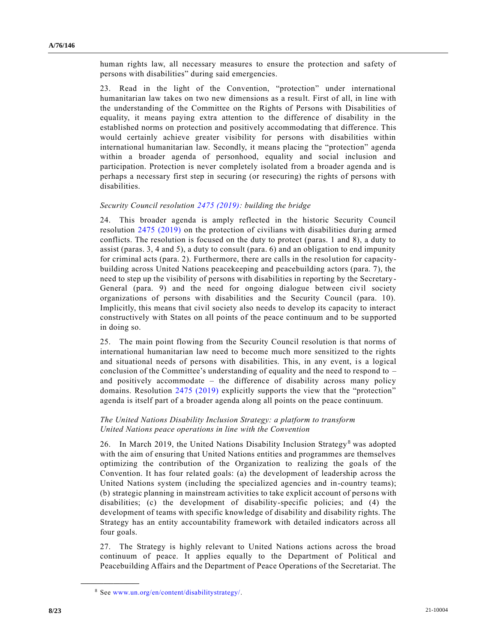human rights law, all necessary measures to ensure the protection and safety of persons with disabilities" during said emergencies.

23. Read in the light of the Convention, "protection" under international humanitarian law takes on two new dimensions as a result. First of all, in line with the understanding of the Committee on the Rights of Persons with Disabilities of equality, it means paying extra attention to the difference of disability in the established norms on protection and positively accommodating that difference. This would certainly achieve greater visibility for persons with disabilities within international humanitarian law. Secondly, it means placing the "protection" agenda within a broader agenda of personhood, equality and social inclusion and participation. Protection is never completely isolated from a broader agenda and is perhaps a necessary first step in securing (or resecuring) the rights of persons with disabilities.

#### *Security Council resolution [2475 \(2019\):](https://undocs.org/en/S/RES/2475(2019)) building the bridge*

24. This broader agenda is amply reflected in the historic Security Council resolution [2475 \(2019\)](https://undocs.org/en/S/RES/2475(2019)) on the protection of civilians with disabilities during armed conflicts. The resolution is focused on the duty to protect (paras. 1 and 8), a duty to assist (paras. 3, 4 and 5), a duty to consult (para. 6) and an obligation to end impunity for criminal acts (para. 2). Furthermore, there are calls in the resolution for capacitybuilding across United Nations peacekeeping and peacebuilding actors (para. 7), the need to step up the visibility of persons with disabilities in reporting by the Secretary-General (para. 9) and the need for ongoing dialogue between civil society organizations of persons with disabilities and the Security Council (para. 10). Implicitly, this means that civil society also needs to develop its capacity to interact constructively with States on all points of the peace continuum and to be supported in doing so.

25. The main point flowing from the Security Council resolution is that norms of international humanitarian law need to become much more sensitized to the rights and situational needs of persons with disabilities. This, in any event, is a logical conclusion of the Committee's understanding of equality and the need to respond to – and positively accommodate – the difference of disability across many policy domains. Resolution [2475 \(2019\)](https://undocs.org/en/S/RES/2475(2019)) explicitly supports the view that the "protection" agenda is itself part of a broader agenda along all points on the peace continuum.

#### *The United Nations Disability Inclusion Strategy: a platform to transform United Nations peace operations in line with the Convention*

26. In March 2019, the United Nations Disability Inclusion Strategy<sup>8</sup> was adopted with the aim of ensuring that United Nations entities and programmes are themselves optimizing the contribution of the Organization to realizing the goals of the Convention. It has four related goals: (a) the development of leadership across the United Nations system (including the specialized agencies and in-country teams); (b) strategic planning in mainstream activities to take explicit account of persons with disabilities; (c) the development of disability-specific policies; and (4) the development of teams with specific knowledge of disability and disability rights. The Strategy has an entity accountability framework with detailed indicators across all four goals.

27. The Strategy is highly relevant to United Nations actions across the broad continuum of peace. It applies equally to the Department of Political and Peacebuilding Affairs and the Department of Peace Operations of the Secretariat. The

<sup>8</sup> See [www.un.org/en/content/disabilitystrategy/.](http://www.un.org/en/content/disabilitystrategy/)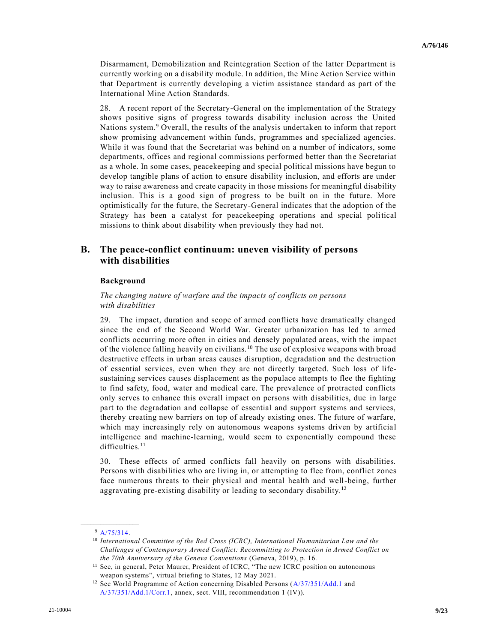Disarmament, Demobilization and Reintegration Section of the latter Department is currently working on a disability module. In addition, the Mine Action Service within that Department is currently developing a victim assistance standard as part of the International Mine Action Standards.

28. A recent report of the Secretary-General on the implementation of the Strategy shows positive signs of progress towards disability inclusion across the United Nations system.<sup>9</sup> Overall, the results of the analysis undertaken to inform that report show promising advancement within funds, programmes and specialized agencies. While it was found that the Secretariat was behind on a number of indicators, some departments, offices and regional commissions performed better than the Secretariat as a whole. In some cases, peacekeeping and special political missions have begun to develop tangible plans of action to ensure disability inclusion, and efforts are under way to raise awareness and create capacity in those missions for meaningful disability inclusion. This is a good sign of progress to be built on in the future. More optimistically for the future, the Secretary-General indicates that the adoption of the Strategy has been a catalyst for peacekeeping operations and special political missions to think about disability when previously they had not.

## **B. The peace-conflict continuum: uneven visibility of persons with disabilities**

#### **Background**

*The changing nature of warfare and the impacts of conflicts on persons with disabilities*

29. The impact, duration and scope of armed conflicts have dramatically changed since the end of the Second World War. Greater urbanization has led to armed conflicts occurring more often in cities and densely populated areas, with the impact of the violence falling heavily on civilians. <sup>10</sup> The use of explosive weapons with broad destructive effects in urban areas causes disruption, degradation and the destruction of essential services, even when they are not directly targeted. Such loss of lifesustaining services causes displacement as the populace attempts to flee the fighting to find safety, food, water and medical care. The prevalence of protracted conflicts only serves to enhance this overall impact on persons with disabilities, due in large part to the degradation and collapse of essential and support systems and services, thereby creating new barriers on top of already existing ones. The future of warfare, which may increasingly rely on autonomous weapons systems driven by artificial intelligence and machine-learning, would seem to exponentially compound these difficulties.<sup>11</sup>

30. These effects of armed conflicts fall heavily on persons with disabilities. Persons with disabilities who are living in, or attempting to flee from, conflic t zones face numerous threats to their physical and mental health and well-being, further aggravating pre-existing disability or leading to secondary disability.<sup>12</sup>

**\_\_\_\_\_\_\_\_\_\_\_\_\_\_\_\_\_\_** <sup>9</sup> [A/75/314.](https://undocs.org/en/A/75/314)

<sup>&</sup>lt;sup>10</sup> International Committee of the Red Cross (ICRC), International Humanitarian Law and the *Challenges of Contemporary Armed Conflict: Recommitting to Protection in Armed Conflict on the 70th Anniversary of the Geneva Conventions* (Geneva, 2019), p. 16.

<sup>&</sup>lt;sup>11</sup> See, in general, Peter Maurer, President of ICRC, "The new ICRC position on autonomous weapon systems", virtual briefing to States, 12 May 2021.

<sup>&</sup>lt;sup>12</sup> See World Programme of Action concerning Disabled Persons [\(A/37/351/Add.1](https://undocs.org/en/A/37/351/Add.1) and [A/37/351/Add.1/Corr.1,](https://undocs.org/en/A/37/351/Add.1/Corr.1) annex, sect. VIII, recommendation 1 (IV)).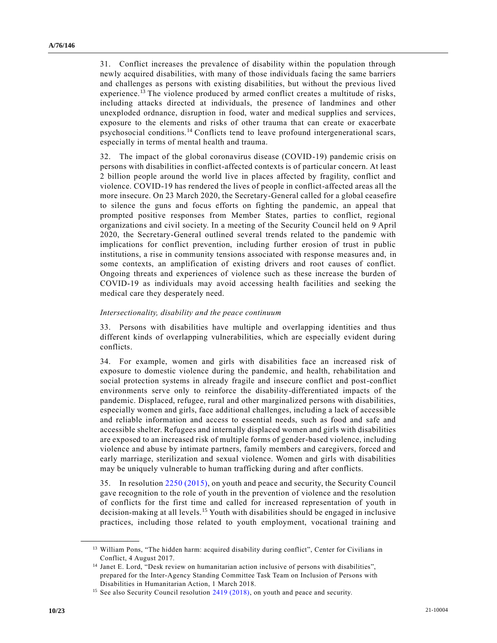31. Conflict increases the prevalence of disability within the population through newly acquired disabilities, with many of those individuals facing the same barriers and challenges as persons with existing disabilities, but without the previous lived experience.<sup>13</sup> The violence produced by armed conflict creates a multitude of risks, including attacks directed at individuals, the presence of landmines and other unexploded ordnance, disruption in food, water and medical supplies and services, exposure to the elements and risks of other trauma that can create or exacerbate psychosocial conditions.<sup>14</sup> Conflicts tend to leave profound intergenerational scars, especially in terms of mental health and trauma.

32. The impact of the global coronavirus disease (COVID-19) pandemic crisis on persons with disabilities in conflict-affected contexts is of particular concern. At least 2 billion people around the world live in places affected by fragility, conflict and violence. COVID-19 has rendered the lives of people in conflict-affected areas all the more insecure. On 23 March 2020, the Secretary-General called for a global ceasefire to silence the guns and focus efforts on fighting the pandemic, an appeal that prompted positive responses from Member States, parties to conflict, regional organizations and civil society. In a meeting of the Security Council held on 9 April 2020, the Secretary-General outlined several trends related to the pandemic with implications for conflict prevention, including further erosion of trust in public institutions, a rise in community tensions associated with response measures and, in some contexts, an amplification of existing drivers and root causes of conflict. Ongoing threats and experiences of violence such as these increase the burden of COVID-19 as individuals may avoid accessing health facilities and seeking the medical care they desperately need.

#### *Intersectionality, disability and the peace continuum*

33. Persons with disabilities have multiple and overlapping identities and thus different kinds of overlapping vulnerabilities, which are especially evident during conflicts.

34. For example, women and girls with disabilities face an increased risk of exposure to domestic violence during the pandemic, and health, rehabilitation and social protection systems in already fragile and insecure conflict and post-conflict environments serve only to reinforce the disability-differentiated impacts of the pandemic. Displaced, refugee, rural and other marginalized persons with disabilities, especially women and girls, face additional challenges, including a lack of accessible and reliable information and access to essential needs, such as food and safe and accessible shelter. Refugees and internally displaced women and girls with disabilities are exposed to an increased risk of multiple forms of gender-based violence, including violence and abuse by intimate partners, family members and caregivers, forced and early marriage, sterilization and sexual violence. Women and girls with disabilities may be uniquely vulnerable to human trafficking during and after conflicts.

35. In resolution [2250 \(2015\),](https://undocs.org/en/S/RES/2250(2015)) on youth and peace and security, the Security Council gave recognition to the role of youth in the prevention of violence and the resolution of conflicts for the first time and called for increased representation of youth in decision-making at all levels.<sup>15</sup> Youth with disabilities should be engaged in inclusive practices, including those related to youth employment, vocational training and

<sup>&</sup>lt;sup>13</sup> William Pons, "The hidden harm: acquired disability during conflict", Center for Civilians in Conflict, 4 August 2017.

<sup>&</sup>lt;sup>14</sup> Janet E. Lord, "Desk review on humanitarian action inclusive of persons with disabilities", prepared for the Inter-Agency Standing Committee Task Team on Inclusion of Persons with Disabilities in Humanitarian Action, 1 March 2018.

<sup>&</sup>lt;sup>15</sup> See also Security Council resolution [2419 \(2018\),](https://undocs.org/en/S/RES/2419(2018)) on youth and peace and security.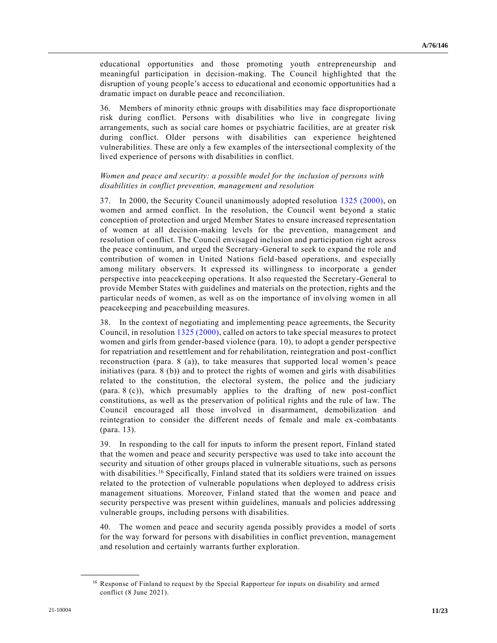educational opportunities and those promoting youth entrepreneurship and meaningful participation in decision-making. The Council highlighted that the disruption of young people's access to educational and economic opportunities had a dramatic impact on durable peace and reconciliation.

36. Members of minority ethnic groups with disabilities may face disproportionate risk during conflict. Persons with disabilities who live in congregate living arrangements, such as social care homes or psychiatric facilities, are at greater risk during conflict. Older persons with disabilities can experience heightened vulnerabilities. These are only a few examples of the intersectional complexity of the lived experience of persons with disabilities in conflict.

#### *Women and peace and security: a possible model for the inclusion of persons with disabilities in conflict prevention, management and resolution*

37. In 2000, the Security Council unanimously adopted resolution [1325 \(2000\),](https://undocs.org/en/S/RES/1325(2000)) on women and armed conflict. In the resolution, the Council went beyond a static conception of protection and urged Member States to ensure increased representation of women at all decision-making levels for the prevention, management and resolution of conflict. The Council envisaged inclusion and participation right across the peace continuum, and urged the Secretary-General to seek to expand the role and contribution of women in United Nations field-based operations, and especially among military observers. It expressed its willingness to incorporate a gender perspective into peacekeeping operations. It also requested the Secretary-General to provide Member States with guidelines and materials on the protection, rights and the particular needs of women, as well as on the importance of involving women in all peacekeeping and peacebuilding measures.

38. In the context of negotiating and implementing peace agreements, the Security Council, in resolution [1325 \(2000\),](https://undocs.org/en/S/RES/1325(2000)) called on actors to take special measures to protect women and girls from gender-based violence (para. 10), to adopt a gender perspective for repatriation and resettlement and for rehabilitation, reintegration and post-conflict reconstruction (para. 8 (a)), to take measures that supported local women's peace initiatives (para. 8 (b)) and to protect the rights of women and girls with disabilities related to the constitution, the electoral system, the police and the judiciary (para. 8 (c)), which presumably applies to the drafting of new post-conflict constitutions, as well as the preservation of political rights and the rule of law. The Council encouraged all those involved in disarmament, demobilization and reintegration to consider the different needs of female and male ex-combatants (para. 13).

39. In responding to the call for inputs to inform the present report, Finland stated that the women and peace and security perspective was used to take into account the security and situation of other groups placed in vulnerable situations, such as persons with disabilities.<sup>16</sup> Specifically, Finland stated that its soldiers were trained on issues related to the protection of vulnerable populations when deployed to address crisis management situations. Moreover, Finland stated that the women and peace and security perspective was present within guidelines, manuals and policies addressing vulnerable groups, including persons with disabilities.

40. The women and peace and security agenda possibly provides a model of sorts for the way forward for persons with disabilities in conflict prevention, management and resolution and certainly warrants further exploration.

<sup>&</sup>lt;sup>16</sup> Response of Finland to request by the Special Rapporteur for inputs on disability and armed conflict (8 June 2021).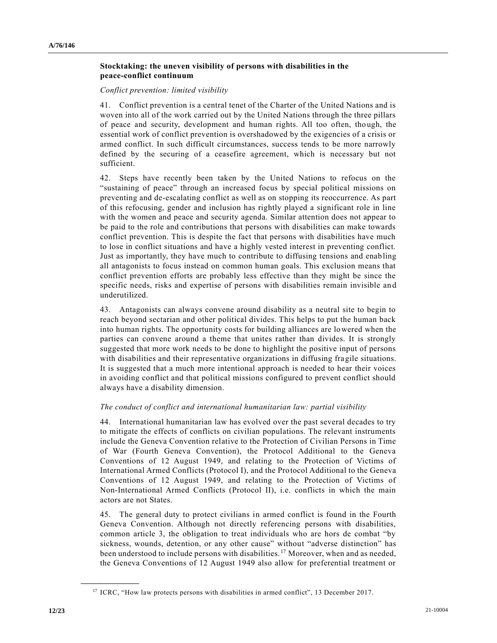### **Stocktaking: the uneven visibility of persons with disabilities in the peace-conflict continuum**

#### *Conflict prevention: limited visibility*

41. Conflict prevention is a central tenet of the Charter of the United Nations and is woven into all of the work carried out by the United Nations through the three pillars of peace and security, development and human rights. All too often, though, the essential work of conflict prevention is overshadowed by the exigencies of a crisis or armed conflict. In such difficult circumstances, success tends to be more narrowly defined by the securing of a ceasefire agreement, which is necessary but not sufficient.

42. Steps have recently been taken by the United Nations to refocus on the "sustaining of peace" through an increased focus by special political missions on preventing and de-escalating conflict as well as on stopping its reoccurrence. As part of this refocusing, gender and inclusion has rightly played a significant role in line with the women and peace and security agenda. Similar attention does not appear to be paid to the role and contributions that persons with disabilities can make towards conflict prevention. This is despite the fact that persons with disabilities have much to lose in conflict situations and have a highly vested interest in preventing conflict. Just as importantly, they have much to contribute to diffusing tensions and enab ling all antagonists to focus instead on common human goals. This exclusion means that conflict prevention efforts are probably less effective than they might be since the specific needs, risks and expertise of persons with disabilities remain invisible an d underutilized.

43. Antagonists can always convene around disability as a neutral site to begin to reach beyond sectarian and other political divides. This helps to put the human back into human rights. The opportunity costs for building alliances are lowered when the parties can convene around a theme that unites rather than divides. It is strongly suggested that more work needs to be done to highlight the positive input of persons with disabilities and their representative organizations in diffusing fragile situations. It is suggested that a much more intentional approach is needed to hear their voices in avoiding conflict and that political missions configured to prevent conflict should always have a disability dimension.

### *The conduct of conflict and international humanitarian law: partial visibility*

44. International humanitarian law has evolved over the past several decades to try to mitigate the effects of conflicts on civilian populations. The relevant instruments include the Geneva Convention relative to the Protection of Civilian Persons in Time of War (Fourth Geneva Convention), the Protocol Additional to the Geneva Conventions of 12 August 1949, and relating to the Protection of Victims of International Armed Conflicts (Protocol I), and the Protocol Additional to the Geneva Conventions of 12 August 1949, and relating to the Protection of Victims of Non-International Armed Conflicts (Protocol II), i.e. conflicts in which the main actors are not States.

45. The general duty to protect civilians in armed conflict is found in the Fourth Geneva Convention. Although not directly referencing persons with disabilities, common article 3, the obligation to treat individuals who are hors de combat "by sickness, wounds, detention, or any other cause" without "adverse distinction" has been understood to include persons with disabilities.<sup>17</sup> Moreover, when and as needed, the Geneva Conventions of 12 August 1949 also allow for preferential treatment or

<sup>&</sup>lt;sup>17</sup> ICRC, "How law protects persons with disabilities in armed conflict", 13 December 2017.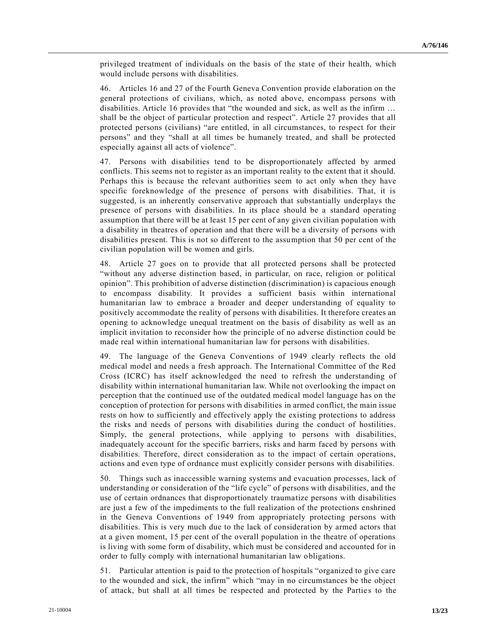privileged treatment of individuals on the basis of the state of their health, which would include persons with disabilities.

46. Articles 16 and 27 of the Fourth Geneva Convention provide elaboration on the general protections of civilians, which, as noted above, encompass persons with disabilities. Article 16 provides that "the wounded and sick, as well as the infirm … shall be the object of particular protection and respect". Article 27 provides that all protected persons (civilians) "are entitled, in all circumstances, to respect for their persons" and they "shall at all times be humanely treated, and shall be protected especially against all acts of violence".

47. Persons with disabilities tend to be disproportionately affected by armed conflicts. This seems not to register as an important reality to the extent that it should. Perhaps this is because the relevant authorities seem to act only when they have specific foreknowledge of the presence of persons with disabilities. That, it is suggested, is an inherently conservative approach that substantially underplays the presence of persons with disabilities. In its place should be a standard operating assumption that there will be at least 15 per cent of any given civilian population with a disability in theatres of operation and that there will be a diversity of persons with disabilities present. This is not so different to the assumption that 50 per cent of the civilian population will be women and girls.

48. Article 27 goes on to provide that all protected persons shall be protected "without any adverse distinction based, in particular, on race, religion or political opinion". This prohibition of adverse distinction (discrimination) is capacious enough to encompass disability. It provides a sufficient basis within international humanitarian law to embrace a broader and deeper understanding of equality to positively accommodate the reality of persons with disabilities. It therefore creates an opening to acknowledge unequal treatment on the basis of disability as well as an implicit invitation to reconsider how the principle of no adverse distinction could be made real within international humanitarian law for persons with disabilities.

49. The language of the Geneva Conventions of 1949 clearly reflects the old medical model and needs a fresh approach. The International Committee of the Red Cross (ICRC) has itself acknowledged the need to refresh the understanding of disability within international humanitarian law. While not overlooking the impact on perception that the continued use of the outdated medical model language has on the conception of protection for persons with disabilities in armed conflict, the main issue rests on how to sufficiently and effectively apply the existing protections to address the risks and needs of persons with disabilities during the conduct of hostilities. Simply, the general protections, while applying to persons with disabilities, inadequately account for the specific barriers, risks and harm faced by persons with disabilities. Therefore, direct consideration as to the impact of certain operations, actions and even type of ordnance must explicitly consider persons with disabilities.

50. Things such as inaccessible warning systems and evacuation processes, lack of understanding or consideration of the "life cycle" of persons with disabilities, and the use of certain ordnances that disproportionately traumatize persons with disabilities are just a few of the impediments to the full realization of the protections enshrined in the Geneva Conventions of 1949 from appropriately protecting persons with disabilities. This is very much due to the lack of consideration by armed actors that at a given moment, 15 per cent of the overall population in the theatre of operations is living with some form of disability, which must be considered and accounted for in order to fully comply with international humanitarian law obligations.

51. Particular attention is paid to the protection of hospitals "organized to give care to the wounded and sick, the infirm" which "may in no circumstances be the object of attack, but shall at all times be respected and protected by the Partie s to the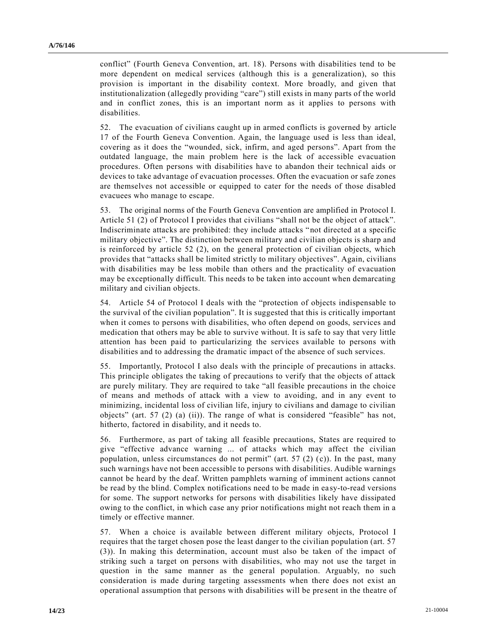conflict" (Fourth Geneva Convention, art. 18). Persons with disabilities tend to be more dependent on medical services (although this is a generalization), so this provision is important in the disability context. More broadly, and given that institutionalization (allegedly providing "care") still exists in many parts of the world and in conflict zones, this is an important norm as it applies to persons with disabilities.

52. The evacuation of civilians caught up in armed conflicts is governed by article 17 of the Fourth Geneva Convention. Again, the language used is less than ideal, covering as it does the "wounded, sick, infirm, and aged persons". Apart from the outdated language, the main problem here is the lack of accessible evacuation procedures. Often persons with disabilities have to abandon their technical aids or devices to take advantage of evacuation processes. Often the evacuation or safe zones are themselves not accessible or equipped to cater for the needs of those disabled evacuees who manage to escape.

53. The original norms of the Fourth Geneva Convention are amplified in Protocol I. Article 51 (2) of Protocol I provides that civilians "shall not be the object of attack". Indiscriminate attacks are prohibited: they include attacks "not directed at a specific military objective". The distinction between military and civilian objects is sharp and is reinforced by article 52 (2), on the general protection of civilian objects, which provides that "attacks shall be limited strictly to military objectives". Again, civilians with disabilities may be less mobile than others and the practicality of evacuation may be exceptionally difficult. This needs to be taken into account when demarcating military and civilian objects.

54. Article 54 of Protocol I deals with the "protection of objects indispensable to the survival of the civilian population". It is suggested that this is critically important when it comes to persons with disabilities, who often depend on goods, services and medication that others may be able to survive without. It is safe to say that very little attention has been paid to particularizing the services available to persons with disabilities and to addressing the dramatic impact of the absence of such services.

55. Importantly, Protocol I also deals with the principle of precautions in attacks. This principle obligates the taking of precautions to verify that the objects of attack are purely military. They are required to take "all feasible precautions in the choice of means and methods of attack with a view to avoiding, and in any event to minimizing, incidental loss of civilian life, injury to civilians and damage to civilian objects" (art. 57 (2) (a) (ii)). The range of what is considered "feasible" has not, hitherto, factored in disability, and it needs to.

56. Furthermore, as part of taking all feasible precautions, States are required to give "effective advance warning ... of attacks which may affect the civilian population, unless circumstances do not permit" (art. 57 (2) (c)). In the past, many such warnings have not been accessible to persons with disabilities. Audible warnings cannot be heard by the deaf. Written pamphlets warning of imminent actions cannot be read by the blind. Complex notifications need to be made in ea sy-to-read versions for some. The support networks for persons with disabilities likely have dissipated owing to the conflict, in which case any prior notifications might not reach them in a timely or effective manner.

57. When a choice is available between different military objects, Protocol I requires that the target chosen pose the least danger to the civilian population (art. 57 (3)). In making this determination, account must also be taken of the impact of striking such a target on persons with disabilities, who may not use the target in question in the same manner as the general population. Arguably, no such consideration is made during targeting assessments when there does not exist an operational assumption that persons with disabilities will be pre sent in the theatre of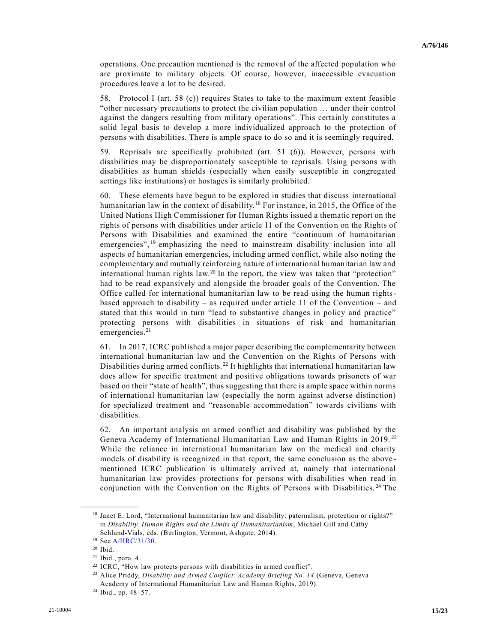operations. One precaution mentioned is the removal of the affected population who are proximate to military objects. Of course, however, inaccessible evacuation procedures leave a lot to be desired.

58. Protocol I (art. 58 (c)) requires States to take to the maximum extent feasible "other necessary precautions to protect the civilian population … under their control against the dangers resulting from military operations". This certainly constitutes a solid legal basis to develop a more individualized approach to the protection of persons with disabilities. There is ample space to do so and it is seemingly required.

59. Reprisals are specifically prohibited (art. 51 (6)). However, persons with disabilities may be disproportionately susceptible to reprisals. Using persons with disabilities as human shields (especially when easily susceptible in congregated settings like institutions) or hostages is similarly prohibited.

60. These elements have begun to be explored in studies that discuss international humanitarian law in the context of disability.<sup>18</sup> For instance, in 2015, the Office of the United Nations High Commissioner for Human Rights issued a thematic report on the rights of persons with disabilities under article 11 of the Convention on the Rights of Persons with Disabilities and examined the entire "continuum of humanitarian emergencies",<sup>19</sup> emphasizing the need to mainstream disability inclusion into all aspects of humanitarian emergencies, including armed conflict, while also noting the complementary and mutually reinforcing nature of international humanitarian law and international human rights law.<sup>20</sup> In the report, the view was taken that "protection" had to be read expansively and alongside the broader goals of the Convention. The Office called for international humanitarian law to be read using the human rightsbased approach to disability – as required under article 11 of the Convention – and stated that this would in turn "lead to substantive changes in policy and practice" protecting persons with disabilities in situations of risk and humanitarian emergencies.<sup>21</sup>

61. In 2017, ICRC published a major paper describing the complementarity between international humanitarian law and the Convention on the Rights of Persons with Disabilities during armed conflicts.<sup>22</sup> It highlights that international humanitarian law does allow for specific treatment and positive obligations towards prisoners of war based on their "state of health", thus suggesting that there is ample space within norms of international humanitarian law (especially the norm against adverse distinction) for specialized treatment and "reasonable accommodation" towards civilians with disabilities.

62. An important analysis on armed conflict and disability was published by the Geneva Academy of International Humanitarian Law and Human Rights in 2019.<sup>23</sup> While the reliance in international humanitarian law on the medical and charity models of disability is recognized in that report, the same conclusion as the above mentioned ICRC publication is ultimately arrived at, namely that international humanitarian law provides protections for persons with disabilities when read in conjunction with the Convention on the Rights of Persons with Disabilities. <sup>24</sup> The

<sup>18</sup> Janet E. Lord, "International humanitarian law and disability: paternalism, protection or rights?" in *Disability, Human Rights and the Limits of Humanitarianism*, Michael Gill and Cathy Schlund-Vials, eds. (Burlington, Vermont, Ashgate, 2014).

<sup>19</sup> Se[e A/HRC/31/30.](https://undocs.org/en/A/HRC/31/30)

<sup>20</sup> Ibid.

<sup>21</sup> Ibid., para. 4.

<sup>&</sup>lt;sup>22</sup> ICRC, "How law protects persons with disabilities in armed conflict".

<sup>23</sup> Alice Priddy, *Disability and Armed Conflict: Academy Briefing No. 14* (Geneva, Geneva Academy of International Humanitarian Law and Human Rights, 2019).

<sup>24</sup> Ibid., pp. 48–57.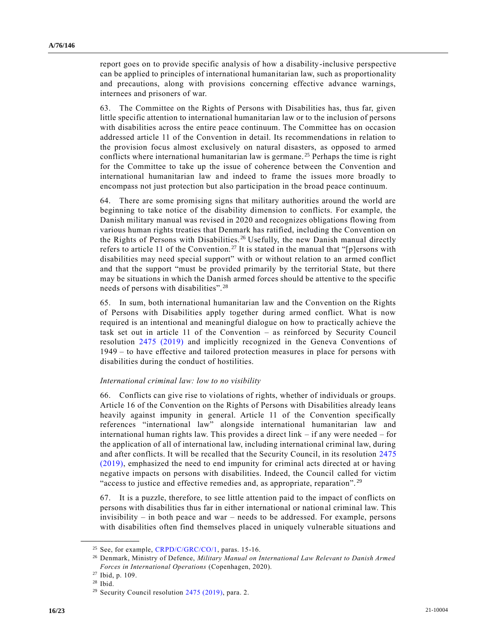report goes on to provide specific analysis of how a disability-inclusive perspective can be applied to principles of international humanitarian law, such as proportionality and precautions, along with provisions concerning effective advance warnings, internees and prisoners of war.

63. The Committee on the Rights of Persons with Disabilities has, thus far, given little specific attention to international humanitarian law or to the inclusion of persons with disabilities across the entire peace continuum. The Committee has on occasion addressed article 11 of the Convention in detail. Its recommendations in relation to the provision focus almost exclusively on natural disasters, as opposed to armed conflicts where international humanitarian law is germane.<sup>25</sup> Perhaps the time is right for the Committee to take up the issue of coherence between the Convention and international humanitarian law and indeed to frame the issues more broadly to encompass not just protection but also participation in the broad peace continuum.

64. There are some promising signs that military authorities around the world are beginning to take notice of the disability dimension to conflicts. For example, the Danish military manual was revised in 2020 and recognizes obligations flowing from various human rights treaties that Denmark has ratified, including the Convention on the Rights of Persons with Disabilities. <sup>26</sup> Usefully, the new Danish manual directly refers to article 11 of the Convention.<sup>27</sup> It is stated in the manual that "[p]ersons with disabilities may need special support" with or without relation to an armed conflict and that the support "must be provided primarily by the territorial State, but there may be situations in which the Danish armed forces should be attentive to the specific needs of persons with disabilities".<sup>28</sup>

65. In sum, both international humanitarian law and the Convention on the Rights of Persons with Disabilities apply together during armed conflict. What is now required is an intentional and meaningful dialogue on how to practically achieve the task set out in article 11 of the Convention – as reinforced by Security Council resolution [2475 \(2019\)](https://undocs.org/en/S/RES/2475(2019)) and implicitly recognized in the Geneva Conventions of 1949 – to have effective and tailored protection measures in place for persons with disabilities during the conduct of hostilities.

#### *International criminal law: low to no visibility*

66. Conflicts can give rise to violations of rights, whether of individuals or groups. Article 16 of the Convention on the Rights of Persons with Disabilities already leans heavily against impunity in general. Article 11 of the Convention specifically references "international law" alongside international humanitarian law and international human rights law. This provides a direct link – if any were needed – for the application of all of international law, including international criminal law, during and after conflicts. It will be recalled that the Security Council, in its resolution [2475](https://undocs.org/en/S/RES/2475(2019))  [\(2019\),](https://undocs.org/en/S/RES/2475(2019)) emphasized the need to end impunity for criminal acts directed at or having negative impacts on persons with disabilities. Indeed, the Council called for victim "access to justice and effective remedies and, as appropriate, reparation". <sup>29</sup>

67. It is a puzzle, therefore, to see little attention paid to the impact of conflicts on persons with disabilities thus far in either international or national criminal law. This invisibility – in both peace and war – needs to be addressed. For example, persons with disabilities often find themselves placed in uniquely vulnerable situations and

<sup>&</sup>lt;sup>25</sup> See, for example, [CRPD/C/GRC/CO/1,](https://undocs.org/en/CRPD/C/GRC/CO/1) paras. 15-16.

<sup>26</sup> Denmark, Ministry of Defence, *Military Manual on International Law Relevant to Danish Armed Forces in International Operations* (Copenhagen, 2020).

<sup>27</sup> [Ibid,](file:///C:/Users/Gregory.Horvath/Downloads/Ibid) p. 109.

<sup>28</sup> Ibid.

<sup>&</sup>lt;sup>29</sup> Security Council resolution [2475 \(2019\),](https://undocs.org/en/S/RES/2475(2019)) para. 2.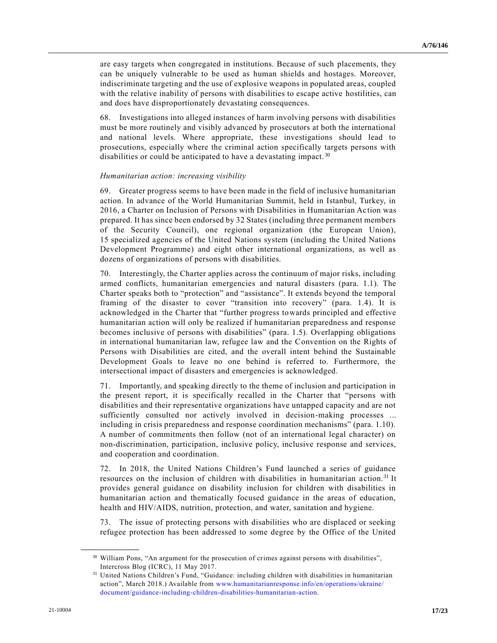are easy targets when congregated in institutions. Because of such placements, they can be uniquely vulnerable to be used as human shields and hostages. Moreover, indiscriminate targeting and the use of explosive weapons in populated areas, coupled with the relative inability of persons with disabilities to escape active hostilities, can and does have disproportionately devastating consequences.

68. Investigations into alleged instances of harm involving persons with disabilities must be more routinely and visibly advanced by prosecutors at both the international and national levels. Where appropriate, these investigations should lead to prosecutions, especially where the criminal action specifically targets persons with disabilities or could be anticipated to have a devastating impact.<sup>30</sup>

#### *Humanitarian action: increasing visibility*

69. Greater progress seems to have been made in the field of inclusive humanitarian action. In advance of the World Humanitarian Summit, held in Istanbul, Turkey, in 2016, a Charter on Inclusion of Persons with Disabilities in Humanitarian Ac tion was prepared. It has since been endorsed by 32 States (including three permanent members of the Security Council), one regional organization (the European Union), 15 specialized agencies of the United Nations system (including the United Nations Development Programme) and eight other international organizations, as well as dozens of organizations of persons with disabilities.

70. Interestingly, the Charter applies across the continuum of major risks, including armed conflicts, humanitarian emergencies and natural disasters (para. 1.1). The Charter speaks both to "protection" and "assistance". It extends beyond the temporal framing of the disaster to cover "transition into recovery" (para. 1.4). It is acknowledged in the Charter that "further progress towards principled and effective humanitarian action will only be realized if humanitarian preparedness and response becomes inclusive of persons with disabilities" (para. 1.5). Overlapping obligations in international humanitarian law, refugee law and the Convention on the Rights of Persons with Disabilities are cited, and the overall intent behind the Sustainable Development Goals to leave no one behind is referred to. Furthermore, the intersectional impact of disasters and emergencies is acknowledged.

71. Importantly, and speaking directly to the theme of inclusion and participation in the present report, it is specifically recalled in the Charter that "persons with disabilities and their representative organizations have untapped capacity and are not sufficiently consulted nor actively involved in decision-making processes ... including in crisis preparedness and response coordination mechanisms" (para. 1.10). A number of commitments then follow (not of an international legal character) on non-discrimination, participation, inclusive policy, inclusive response and services, and cooperation and coordination.

72. In 2018, the United Nations Children's Fund launched a series of guidance resources on the inclusion of children with disabilities in humanitarian action.<sup>31</sup> It provides general guidance on disability inclusion for children with disabilities in humanitarian action and thematically focused guidance in the areas of education, health and HIV/AIDS, nutrition, protection, and water, sanitation and hygiene.

73. The issue of protecting persons with disabilities who are displaced or seeking refugee protection has been addressed to some degree by the Office of the United

<sup>30</sup> William Pons, "An argument for the prosecution of crimes against persons with disabilities", Intercross Blog (ICRC), 11 May 2017.

<sup>31</sup> United Nations Children's Fund, "Guidance: including children with disabilities in humanitarian action", March 2018.) Available from [www.humanitarianresponse.info/en/operations/ukraine/](http://www.humanitarianresponse.info/en/operations/ukraine/document/guidance-including-children-disabilities-humanitarian-action) [document/guidance-including-children-disabilities-humanitarian-action.](http://www.humanitarianresponse.info/en/operations/ukraine/document/guidance-including-children-disabilities-humanitarian-action)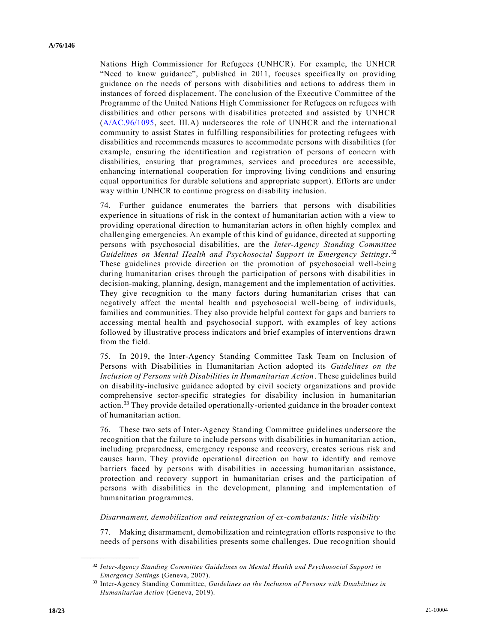Nations High Commissioner for Refugees (UNHCR). For example, the UNHCR "Need to know guidance", published in 2011, focuses specifically on providing guidance on the needs of persons with disabilities and actions to address them in instances of forced displacement. The conclusion of the Executive Committee of the Programme of the United Nations High Commissioner for Refugees on refugees with disabilities and other persons with disabilities protected and assisted by UNHCR [\(A/AC.96/1095,](https://undocs.org/en/A/AC.96/1095) sect. III.A) underscores the role of UNHCR and the international community to assist States in fulfilling responsibilities for protecting refugees with disabilities and recommends measures to accommodate persons with disabilities (for example, ensuring the identification and registration of persons of concern with disabilities, ensuring that programmes, services and procedures are accessible, enhancing international cooperation for improving living conditions and ensuring equal opportunities for durable solutions and appropriate support). Efforts are under way within UNHCR to continue progress on disability inclusion.

74. Further guidance enumerates the barriers that persons with disabilities experience in situations of risk in the context of humanitarian action with a view to providing operational direction to humanitarian actors in often highly complex and challenging emergencies. An example of this kind of guidance, directed at supporting persons with psychosocial disabilities, are the *Inter-Agency Standing Committee Guidelines on Mental Health and Psychosocial Support in Emergency Settings*. 32 These guidelines provide direction on the promotion of psychosocial well-being during humanitarian crises through the participation of persons with disabilities in decision-making, planning, design, management and the implementation of activities. They give recognition to the many factors during humanitarian crises that can negatively affect the mental health and psychosocial well-being of individuals, families and communities. They also provide helpful context for gaps and barriers to accessing mental health and psychosocial support, with examples of key actions followed by illustrative process indicators and brief examples of interventions drawn from the field.

75. In 2019, the Inter-Agency Standing Committee Task Team on Inclusion of Persons with Disabilities in Humanitarian Action adopted its *Guidelines on the Inclusion of Persons with Disabilities in Humanitarian Action*. These guidelines build on disability-inclusive guidance adopted by civil society organizations and provide comprehensive sector-specific strategies for disability inclusion in humanitarian action.<sup>33</sup> They provide detailed operationally-oriented guidance in the broader context of humanitarian action.

76. These two sets of Inter-Agency Standing Committee guidelines underscore the recognition that the failure to include persons with disabilities in humanitarian action, including preparedness, emergency response and recovery, creates serious risk and causes harm. They provide operational direction on how to identify and remove barriers faced by persons with disabilities in accessing humanitarian assistance, protection and recovery support in humanitarian crises and the participation of persons with disabilities in the development, planning and implementation of humanitarian programmes.

*Disarmament, demobilization and reintegration of ex-combatants: little visibility*

77. Making disarmament, demobilization and reintegration efforts responsive to the needs of persons with disabilities presents some challenges. Due recognition should

<sup>32</sup> *Inter-Agency Standing Committee Guidelines on Mental Health and Psychosocial Support in Emergency Settings* (Geneva, 2007).

<sup>33</sup> Inter-Agency Standing Committee, *Guidelines on the Inclusion of Persons with Disabilities in Humanitarian Action* (Geneva, 2019).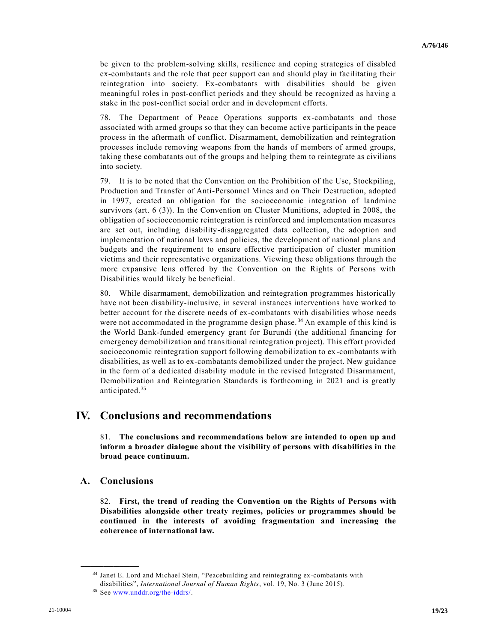be given to the problem-solving skills, resilience and coping strategies of disabled ex-combatants and the role that peer support can and should play in facilitating their reintegration into society. Ex-combatants with disabilities should be given meaningful roles in post-conflict periods and they should be recognized as having a stake in the post-conflict social order and in development efforts.

78. The Department of Peace Operations supports ex-combatants and those associated with armed groups so that they can become active participants in the peace process in the aftermath of conflict. Disarmament, demobilization and reintegration processes include removing weapons from the hands of members of armed groups, taking these combatants out of the groups and helping them to reintegrate as civilians into society.

79. It is to be noted that the Convention on the Prohibition of the Use, Stockpiling, Production and Transfer of Anti-Personnel Mines and on Their Destruction, adopted in 1997, created an obligation for the socioeconomic integration of landmine survivors (art. 6 (3)). In the Convention on Cluster Munitions, adopted in 2008, the obligation of socioeconomic reintegration is reinforced and implementation measures are set out, including disability-disaggregated data collection, the adoption and implementation of national laws and policies, the development of national plans and budgets and the requirement to ensure effective participation of cluster munition victims and their representative organizations. Viewing these obligations through the more expansive lens offered by the Convention on the Rights of Persons with Disabilities would likely be beneficial.

80. While disarmament, demobilization and reintegration programmes historically have not been disability-inclusive, in several instances interventions have worked to better account for the discrete needs of ex-combatants with disabilities whose needs were not accommodated in the programme design phase.<sup>34</sup> An example of this kind is the World Bank-funded emergency grant for Burundi (the additional financing for emergency demobilization and transitional reintegration project). This effort provided socioeconomic reintegration support following demobilization to ex-combatants with disabilities, as well as to ex-combatants demobilized under the project. New guidance in the form of a dedicated disability module in the revised Integrated Disarmament, Demobilization and Reintegration Standards is forthcoming in 2021 and is greatly anticipated.<sup>35</sup>

## **IV. Conclusions and recommendations**

81. **The conclusions and recommendations below are intended to open up and inform a broader dialogue about the visibility of persons with disabilities in the broad peace continuum.** 

## **A. Conclusions**

**\_\_\_\_\_\_\_\_\_\_\_\_\_\_\_\_\_\_**

82. **First, the trend of reading the Convention on the Rights of Persons with Disabilities alongside other treaty regimes, policies or programmes should be continued in the interests of avoiding fragmentation and increasing the coherence of international law.** 

<sup>&</sup>lt;sup>34</sup> Janet E. Lord and Michael Stein, "Peacebuilding and reintegrating ex-combatants with disabilities", *International Journal of Human Rights*, vol. 19, No. 3 (June 2015).

<sup>35</sup> See [www.unddr.org/the-iddrs/.](http://www.unddr.org/the-iddrs/)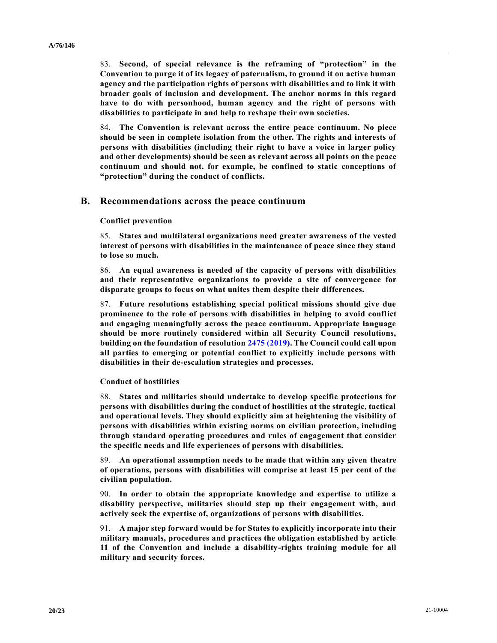83. **Second, of special relevance is the reframing of "protection" in the Convention to purge it of its legacy of paternalism, to ground it on active human agency and the participation rights of persons with disabilities and to link it with broader goals of inclusion and development. The anchor norms in this regard have to do with personhood, human agency and the right of persons with disabilities to participate in and help to reshape their own societies.** 

84. **The Convention is relevant across the entire peace continuum. No piece should be seen in complete isolation from the other. The rights and interests of persons with disabilities (including their right to have a voice in larger policy and other developments) should be seen as relevant across all points on the peace continuum and should not, for example, be confined to static conceptions of "protection" during the conduct of conflicts.** 

#### **B. Recommendations across the peace continuum**

#### **Conflict prevention**

85. **States and multilateral organizations need greater awareness of the vested interest of persons with disabilities in the maintenance of peace since they stand to lose so much.**

86. **An equal awareness is needed of the capacity of persons with disabilities and their representative organizations to provide a site of convergence for disparate groups to focus on what unites them despite their differences.** 

87. **Future resolutions establishing special political missions should give due prominence to the role of persons with disabilities in helping to avoid conflict and engaging meaningfully across the peace continuum. Appropriate language should be more routinely considered within all Security Council resolutions, building on the foundation of resolution 2475 [\(2019\).](https://undocs.org/en/S/RES/2475(2019)) The Council could call upon all parties to emerging or potential conflict to explicitly include persons with disabilities in their de-escalation strategies and processes.** 

#### **Conduct of hostilities**

88. **States and militaries should undertake to develop specific protections for persons with disabilities during the conduct of hostilities at the strategic, tactical and operational levels. They should explicitly aim at heightening the visibility of persons with disabilities within existing norms on civilian protection, including through standard operating procedures and rules of engagement that consider the specific needs and life experiences of persons with disabilities.** 

89. **An operational assumption needs to be made that within any given theatre of operations, persons with disabilities will comprise at least 15 per cent of the civilian population.**

90. **In order to obtain the appropriate knowledge and expertise to utilize a disability perspective, militaries should step up their engagement with, and actively seek the expertise of, organizations of persons with disabilities.** 

91. **A major step forward would be for States to explicitly incorporate into their military manuals, procedures and practices the obligation established by article 11 of the Convention and include a disability-rights training module for all military and security forces.**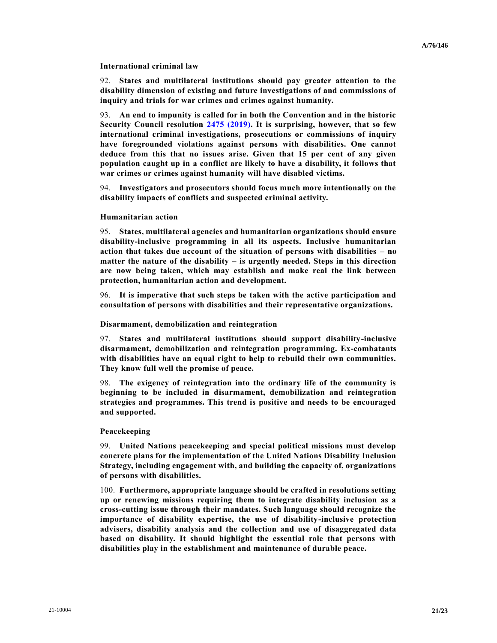**International criminal law**

92. **States and multilateral institutions should pay greater attention to the disability dimension of existing and future investigations of and commissions of inquiry and trials for war crimes and crimes against humanity.** 

93. **An end to impunity is called for in both the Convention and in the historic Security Council resolution [2475 \(2019\).](https://undocs.org/en/S/RES/2475(2019)) It is surprising, however, that so few international criminal investigations, prosecutions or commissions of inquiry have foregrounded violations against persons with disabilities. One cannot deduce from this that no issues arise. Given that 15 per cent of any given population caught up in a conflict are likely to have a disability, it follows that war crimes or crimes against humanity will have disabled victims.**

94. **Investigators and prosecutors should focus much more intentionally on the disability impacts of conflicts and suspected criminal activity.**

#### **Humanitarian action**

95. **States, multilateral agencies and humanitarian organizations should ensure disability-inclusive programming in all its aspects. Inclusive humanitarian action that takes due account of the situation of persons with disabilities – no matter the nature of the disability – is urgently needed. Steps in this direction are now being taken, which may establish and make real the link between protection, humanitarian action and development.**

96. **It is imperative that such steps be taken with the active participation and consultation of persons with disabilities and their representative organizations.** 

#### **Disarmament, demobilization and reintegration**

97. **States and multilateral institutions should support disability-inclusive disarmament, demobilization and reintegration programming. Ex-combatants with disabilities have an equal right to help to rebuild their own communities. They know full well the promise of peace.**

98. **The exigency of reintegration into the ordinary life of the community is beginning to be included in disarmament, demobilization and reintegration strategies and programmes. This trend is positive and needs to be encouraged and supported.** 

#### **Peacekeeping**

99. **United Nations peacekeeping and special political missions must develop concrete plans for the implementation of the United Nations Disability Inclusion Strategy, including engagement with, and building the capacity of, organizations of persons with disabilities.**

100. **Furthermore, appropriate language should be crafted in resolutions setting up or renewing missions requiring them to integrate disability inclusion as a cross-cutting issue through their mandates. Such language should recognize the importance of disability expertise, the use of disability-inclusive protection advisers, disability analysis and the collection and use of disaggregated data based on disability. It should highlight the essential role that persons with disabilities play in the establishment and maintenance of durable peace.**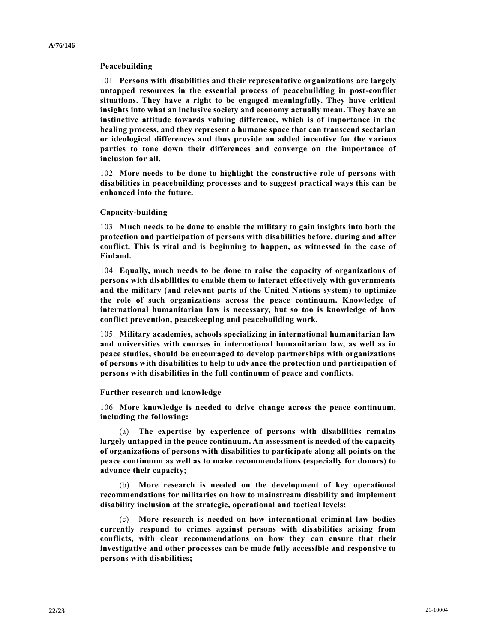#### **Peacebuilding**

101. **Persons with disabilities and their representative organizations are largely untapped resources in the essential process of peacebuilding in post-conflict situations. They have a right to be engaged meaningfully. They have critical insights into what an inclusive society and economy actually mean. They have an instinctive attitude towards valuing difference, which is of importance in the healing process, and they represent a humane space that can transcend sectarian or ideological differences and thus provide an added incentive for the various parties to tone down their differences and converge on the importance of inclusion for all.** 

102. **More needs to be done to highlight the constructive role of persons with disabilities in peacebuilding processes and to suggest practical ways this can be enhanced into the future.**

#### **Capacity-building**

103. **Much needs to be done to enable the military to gain insights into both the protection and participation of persons with disabilities before, during and after conflict. This is vital and is beginning to happen, as witnessed in the case of Finland.**

104. **Equally, much needs to be done to raise the capacity of organizations of persons with disabilities to enable them to interact effectively with governments and the military (and relevant parts of the United Nations system) to optimize the role of such organizations across the peace continuum. Knowledge of international humanitarian law is necessary, but so too is knowledge of how conflict prevention, peacekeeping and peacebuilding work.** 

105. **Military academies, schools specializing in international humanitarian law and universities with courses in international humanitarian law, as well as in peace studies, should be encouraged to develop partnerships with organizations of persons with disabilities to help to advance the protection and participation of persons with disabilities in the full continuum of peace and conflicts.**

#### **Further research and knowledge**

106. **More knowledge is needed to drive change across the peace continuum, including the following:**

(a) **The expertise by experience of persons with disabilities remains largely untapped in the peace continuum. An assessment is needed of the capacity of organizations of persons with disabilities to participate along all points on the peace continuum as well as to make recommendations (especially for donors) to advance their capacity;**

(b) **More research is needed on the development of key operational recommendations for militaries on how to mainstream disability and implement disability inclusion at the strategic, operational and tactical levels;**

(c) **More research is needed on how international criminal law bodies currently respond to crimes against persons with disabilities arising from conflicts, with clear recommendations on how they can ensure that their investigative and other processes can be made fully accessible and responsive to persons with disabilities;**